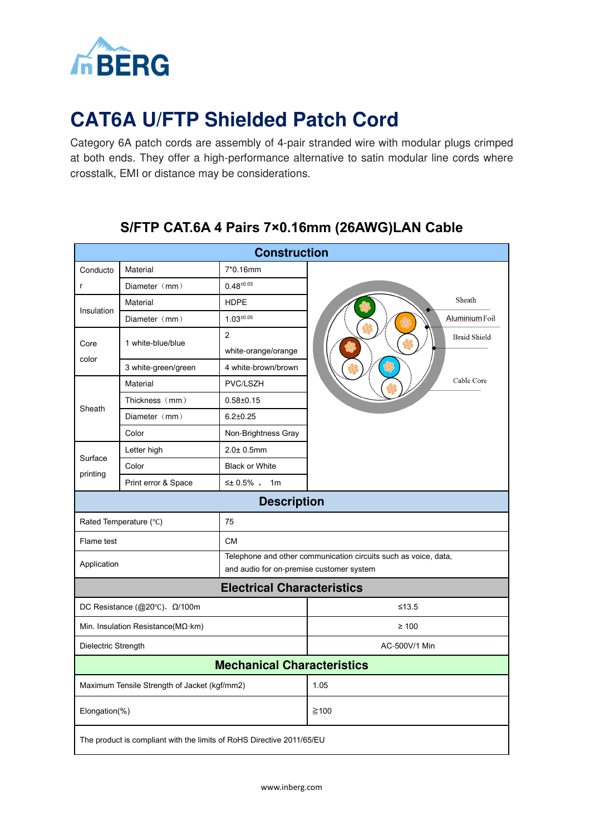

# **CAT6A U/FTP Shielded Patch Cord**

Category 6A patch cords are assembly of 4-pair stranded wire with modular plugs crimped at both ends. They offer a high-performance alternative to satin modular line cords where crosstalk, EMI or distance may be considerations.

#### **Construction** Conducto Material 7\*0.16mm Diameter (mm) 0.48±0.03 r Sheath Material **HDPE** Insulation Diameter (mm) 1.03±0.05 Aluminium Foil 2 **Braid Shield** Core 1 white-blue/blue white-orange/orange color 3 white-green/green 4 white-brown/brown Cable Core Material PVC/LSZH Thickness (mm) 0.58±0.15 Sheath Diameter (mm) 6.2±0.25 Color Non-Brightness Gray Letter high 2.0± 0.5mm Surface Color **Black or White** printing Print error & Space  $\vert$  ≤± 0.5%, 1m **Description**  Rated Temperature (°C) 75 Flame test CM Telephone and other communication circuits such as voice, data, Application and audio for on-premise customer system **Electrical Characteristics** DC Resistance (@20℃),  $Ω/100$ m ≤13.5 Min. Insulation Resistance(MΩ·km)  $≥ 100$ Dielectric Strength **AC-500V/1 Min Mechanical Characteristics** Maximum Tensile Strength of Jacket (kgf/mm2) 1.05  $\blacksquare$  Elongation(%)  $\geq 100$ The product is compliant with the limits of RoHS Directive 2011/65/EU

## **S/FTP CAT.6A 4 Pairs 7×0.16mm (26AWG)LAN Cable**